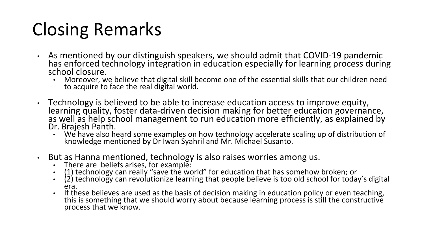## Closing Remarks

- As mentioned by our distinguish speakers, we should admit that COVID-19 pandemic has enforced technology integration in education especially for learning process during school closure.
	- Moreover, we believe that digital skill become one of the essential skills that our children need to acquire to face the real digital world.
- Technology is believed to be able to increase education access to improve equity, learning quality, foster data-driven decision making for better education governance, as well as help school management to run education more efficiently, as explained by Dr. Brajesh Panth.
	- We have also heard some examples on how technology accelerate scaling up of distribution of knowledge mentioned by Dr Iwan Syahril and Mr. Michael Susanto.
- But as Hanna mentioned, technology is also raises worries among us.
	- There are beliefs arises, for example:
	- (1) technology can really "save the world" for education that has somehow broken; or
	- (2) technology can revolutionize learning that people believe is too old school for today's digital era.
	- If these believes are used as the basis of decision making in education policy or even teaching, this is something that we should worry about because learning process is still the constructive process that we know.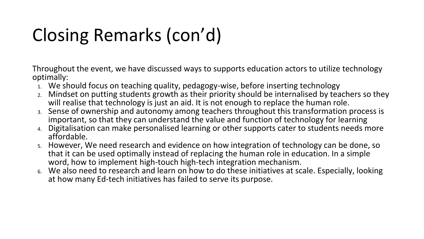## Closing Remarks (con'd)

Throughout the event, we have discussed ways to supports education actors to utilize technology optimally:

- 1. We should focus on teaching quality, pedagogy-wise, before inserting technology
- 2. Mindset on putting students growth as their priority should be internalised by teachers so they will realise that technology is just an aid. It is not enough to replace the human role.
- 3. Sense of ownership and autonomy among teachers throughout this transformation process is important, so that they can understand the value and function of technology for learning
- 4. Digitalisation can make personalised learning or other supports cater to students needs more affordable.
- 5. However, We need research and evidence on how integration of technology can be done, so that it can be used optimally instead of replacing the human role in education. In a simple word, how to implement high-touch high-tech integration mechanism.
- 6. We also need to research and learn on how to do these initiatives at scale. Especially, looking at how many Ed-tech initiatives has failed to serve its purpose.